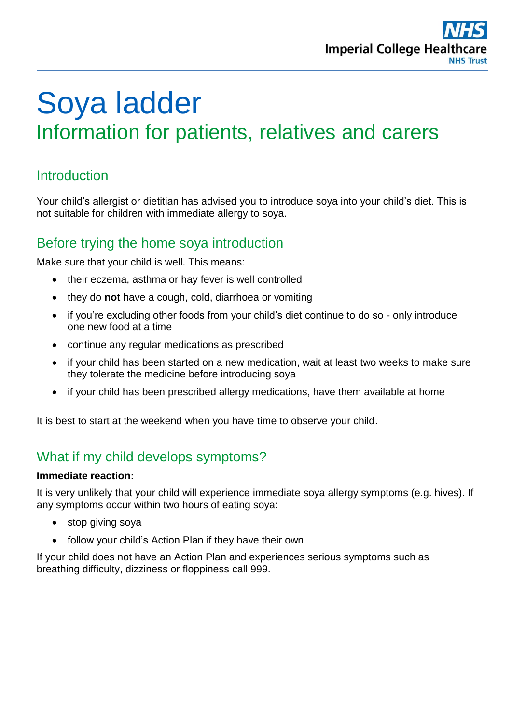

# Soya ladder Information for patients, relatives and carers

#### **Introduction**

Your child's allergist or dietitian has advised you to introduce soya into your child's diet. This is not suitable for children with immediate allergy to soya.

#### Before trying the home soya introduction

Make sure that your child is well. This means:

- their eczema, asthma or hay fever is well controlled
- they do **not** have a cough, cold, diarrhoea or vomiting
- if you're excluding other foods from your child's diet continue to do so only introduce one new food at a time
- continue any regular medications as prescribed
- if your child has been started on a new medication, wait at least two weeks to make sure they tolerate the medicine before introducing soya
- if your child has been prescribed allergy medications, have them available at home

It is best to start at the weekend when you have time to observe your child.

### What if my child develops symptoms?

#### **Immediate reaction:**

It is very unlikely that your child will experience immediate soya allergy symptoms (e.g. hives). If any symptoms occur within two hours of eating soya:

- stop giving soya
- follow your child's Action Plan if they have their own

If your child does not have an Action Plan and experiences serious symptoms such as breathing difficulty, dizziness or floppiness call 999.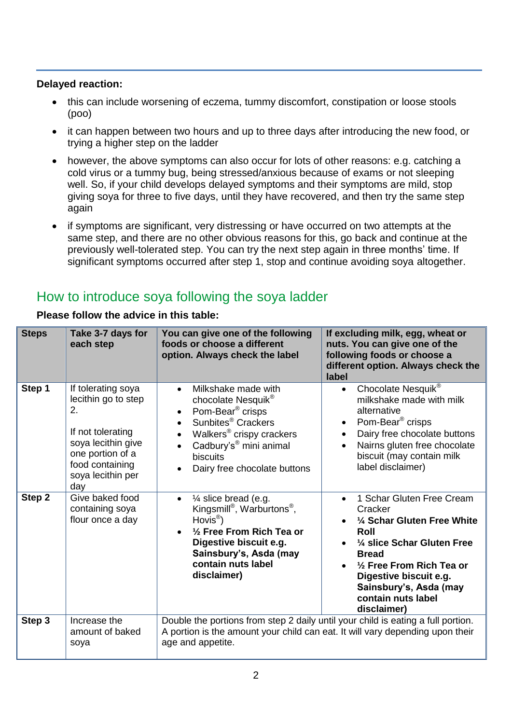#### **Delayed reaction:**

- this can include worsening of eczema, tummy discomfort, constipation or loose stools (poo)
- it can happen between two hours and up to three days after introducing the new food, or trying a higher step on the ladder
- however, the above symptoms can also occur for lots of other reasons: e.g. catching a cold virus or a tummy bug, being stressed/anxious because of exams or not sleeping well. So, if your child develops delayed symptoms and their symptoms are mild, stop giving soya for three to five days, until they have recovered, and then try the same step again
- if symptoms are significant, very distressing or have occurred on two attempts at the same step, and there are no other obvious reasons for this, go back and continue at the previously well-tolerated step. You can try the next step again in three months' time. If significant symptoms occurred after step 1, stop and continue avoiding soya altogether.

## How to introduce soya following the soya ladder

| <b>Steps</b> | Take 3-7 days for<br>each step                                                                                                                                | You can give one of the following<br>foods or choose a different<br>option. Always check the label                                                                                                                                                                    | If excluding milk, egg, wheat or<br>nuts. You can give one of the<br>following foods or choose a<br>different option. Always check the<br>label                                                                                                                         |
|--------------|---------------------------------------------------------------------------------------------------------------------------------------------------------------|-----------------------------------------------------------------------------------------------------------------------------------------------------------------------------------------------------------------------------------------------------------------------|-------------------------------------------------------------------------------------------------------------------------------------------------------------------------------------------------------------------------------------------------------------------------|
| Step 1       | If tolerating soya<br>lecithin go to step<br>2.<br>If not tolerating<br>soya lecithin give<br>one portion of a<br>food containing<br>soya lecithin per<br>day | Milkshake made with<br>chocolate Nesquik <sup>®</sup><br>Pom-Bear <sup>®</sup> crisps<br>Sunbites <sup>®</sup> Crackers<br>Walkers <sup>®</sup> crispy crackers<br>$\bullet$<br>Cadbury's <sup>®</sup> mini animal<br><b>biscuits</b><br>Dairy free chocolate buttons | Chocolate Nesquik®<br>$\bullet$<br>milkshake made with milk<br>alternative<br>Pom-Bear <sup>®</sup> crisps<br>$\bullet$<br>Dairy free chocolate buttons<br>$\bullet$<br>Nairns gluten free chocolate<br>biscuit (may contain milk<br>label disclaimer)                  |
| Step 2       | Give baked food<br>containing soya<br>flour once a day                                                                                                        | 1/4 slice bread (e.g.<br>$\bullet$<br>Kingsmill <sup>®</sup> , Warburtons <sup>®</sup> ,<br>$Hovis^{\circledR})$<br>1/2 Free From Rich Tea or<br>Digestive biscuit e.g.<br>Sainsbury's, Asda (may<br>contain nuts label<br>disclaimer)                                | 1 Schar Gluten Free Cream<br>$\bullet$<br>Cracker<br>1/4 Schar Gluten Free White<br>Roll<br>1/4 slice Schar Gluten Free<br><b>Bread</b><br>$\frac{1}{2}$ Free From Rich Tea or<br>Digestive biscuit e.g.<br>Sainsbury's, Asda (may<br>contain nuts label<br>disclaimer) |
| Step 3       | Increase the<br>amount of baked<br>soya                                                                                                                       | Double the portions from step 2 daily until your child is eating a full portion.<br>A portion is the amount your child can eat. It will vary depending upon their<br>age and appetite.                                                                                |                                                                                                                                                                                                                                                                         |

**Please follow the advice in this table:**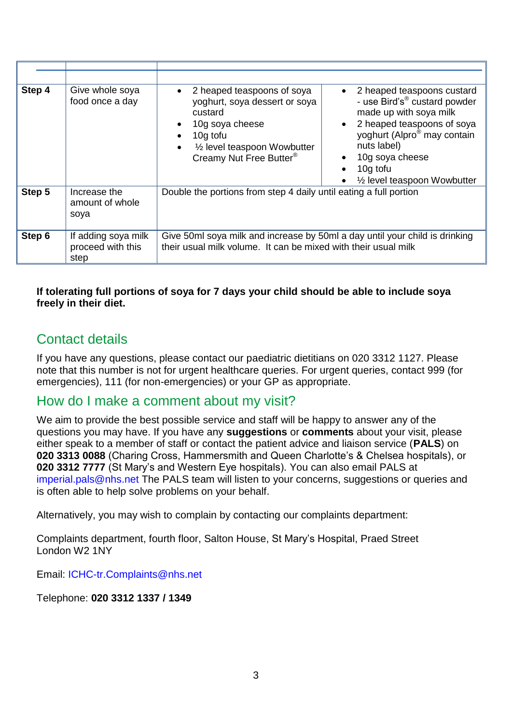| Step 4 | Give whole soya<br>food once a day               | 2 heaped teaspoons of soya<br>yoghurt, soya dessert or soya<br>custard<br>10g soya cheese<br>10g tofu<br>1/ <sub>2</sub> level teaspoon Wowbutter<br>$\bullet$<br>Creamy Nut Free Butter <sup>®</sup> | 2 heaped teaspoons custard<br>- use Bird's <sup>®</sup> custard powder<br>made up with soya milk<br>2 heaped teaspoons of soya<br>yoghurt (Alpro <sup>®</sup> may contain<br>nuts label)<br>10g soya cheese<br>10g tofu<br>1/ <sub>2</sub> level teaspoon Wowbutter |
|--------|--------------------------------------------------|-------------------------------------------------------------------------------------------------------------------------------------------------------------------------------------------------------|---------------------------------------------------------------------------------------------------------------------------------------------------------------------------------------------------------------------------------------------------------------------|
| Step 5 | Increase the<br>amount of whole<br>soya          | Double the portions from step 4 daily until eating a full portion                                                                                                                                     |                                                                                                                                                                                                                                                                     |
| Step 6 | If adding soya milk<br>proceed with this<br>step | Give 50ml soya milk and increase by 50ml a day until your child is drinking<br>their usual milk volume. It can be mixed with their usual milk                                                         |                                                                                                                                                                                                                                                                     |

#### **If tolerating full portions of soya for 7 days your child should be able to include soya freely in their diet.**

## Contact details

If you have any questions, please contact our paediatric dietitians on 020 3312 1127. Please note that this number is not for urgent healthcare queries. For urgent queries, contact 999 (for emergencies), 111 (for non-emergencies) or your GP as appropriate.

#### How do I make a comment about my visit?

We aim to provide the best possible service and staff will be happy to answer any of the questions you may have. If you have any **suggestions** or **comments** about your visit, please either speak to a member of staff or contact the patient advice and liaison service (**PALS**) on **020 3313 0088** (Charing Cross, Hammersmith and Queen Charlotte's & Chelsea hospitals), or **020 3312 7777** (St Mary's and Western Eye hospitals). You can also email PALS at [imperial.pals@nhs.net](mailto:imperial.pals@nhs.net) The PALS team will listen to your concerns, suggestions or queries and is often able to help solve problems on your behalf.

Alternatively, you may wish to complain by contacting our complaints department:

Complaints department, fourth floor, Salton House, St Mary's Hospital, Praed Street London W2 1NY

Email: [ICHC-tr.Complaints@nhs.net](mailto:ICHC-tr.Complaints@nhs.net)

Telephone: **020 3312 1337 / 1349**